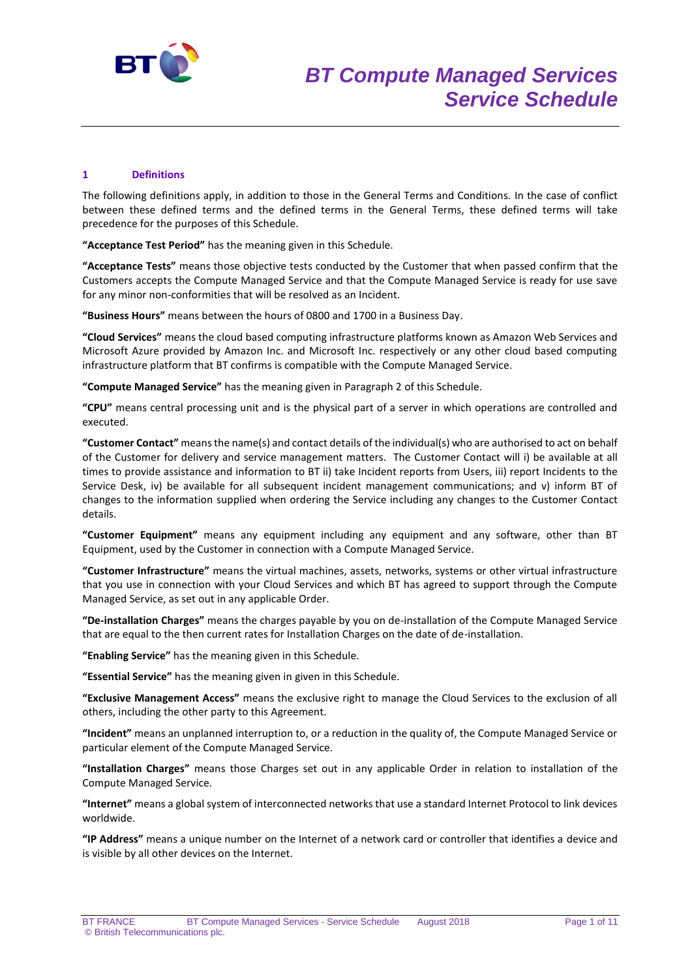

#### **1 Definitions**

The following definitions apply, in addition to those in the General Terms and Conditions. In the case of conflict between these defined terms and the defined terms in the General Terms, these defined terms will take precedence for the purposes of this Schedule.

**"Acceptance Test Period"** has the meaning given in this Schedule.

**"Acceptance Tests"** means those objective tests conducted by the Customer that when passed confirm that the Customers accepts the Compute Managed Service and that the Compute Managed Service is ready for use save for any minor non-conformities that will be resolved as an Incident.

**"Business Hours"** means between the hours of 0800 and 1700 in a Business Day.

**"Cloud Services"** means the cloud based computing infrastructure platforms known as Amazon Web Services and Microsoft Azure provided by Amazon Inc. and Microsoft Inc. respectively or any other cloud based computing infrastructure platform that BT confirms is compatible with the Compute Managed Service.

**"Compute Managed Service"** has the meaning given in Paragraph 2 of this Schedule.

**"CPU"** means central processing unit and is the physical part of a server in which operations are controlled and executed.

**"Customer Contact"** means the name(s) and contact details of the individual(s) who are authorised to act on behalf of the Customer for delivery and service management matters. The Customer Contact will i) be available at all times to provide assistance and information to BT ii) take Incident reports from Users, iii) report Incidents to the Service Desk, iv) be available for all subsequent incident management communications; and v) inform BT of changes to the information supplied when ordering the Service including any changes to the Customer Contact details.

**"Customer Equipment"** means any equipment including any equipment and any software, other than BT Equipment, used by the Customer in connection with a Compute Managed Service.

**"Customer Infrastructure"** means the virtual machines, assets, networks, systems or other virtual infrastructure that you use in connection with your Cloud Services and which BT has agreed to support through the Compute Managed Service, as set out in any applicable Order.

**"De-installation Charges"** means the charges payable by you on de-installation of the Compute Managed Service that are equal to the then current rates for Installation Charges on the date of de-installation.

**"Enabling Service"** has the meaning given in this Schedule.

**"Essential Service"** has the meaning given in given in this Schedule.

**"Exclusive Management Access"** means the exclusive right to manage the Cloud Services to the exclusion of all others, including the other party to this Agreement.

**"Incident"** means an unplanned interruption to, or a reduction in the quality of, the Compute Managed Service or particular element of the Compute Managed Service.

**"Installation Charges"** means those Charges set out in any applicable Order in relation to installation of the Compute Managed Service.

**"Internet"** means a global system of interconnected networks that use a standard Internet Protocol to link devices worldwide.

**"IP Address"** means a unique number on the Internet of a network card or controller that identifies a device and is visible by all other devices on the Internet.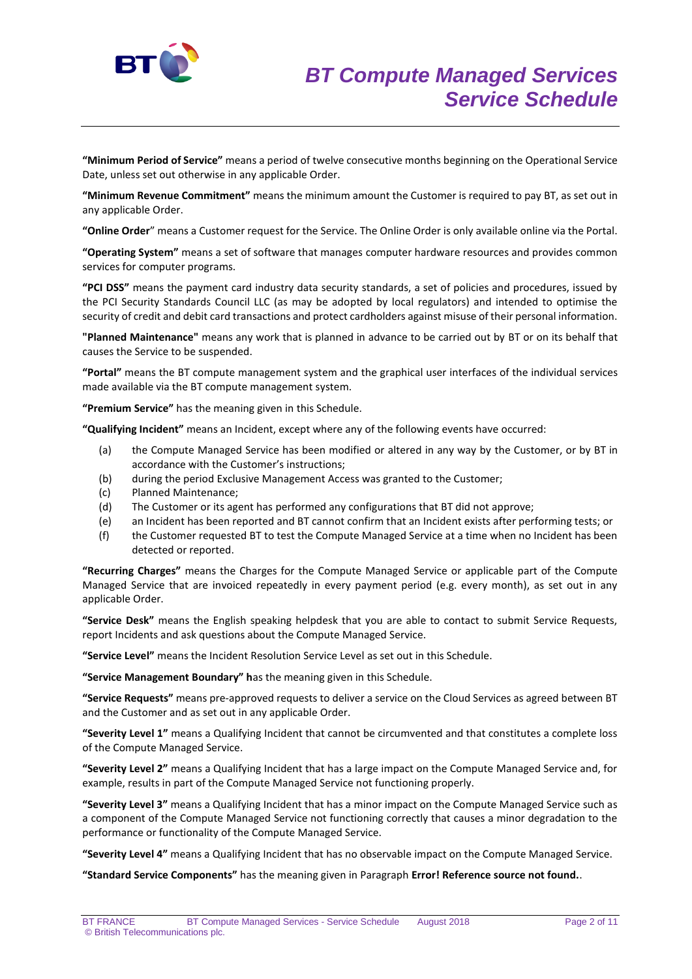

**"Minimum Period of Service"** means a period of twelve consecutive months beginning on the Operational Service Date, unless set out otherwise in any applicable Order.

**"Minimum Revenue Commitment"** means the minimum amount the Customer is required to pay BT, as set out in any applicable Order.

**"Online Order**" means a Customer request for the Service. The Online Order is only available online via the Portal.

**"Operating System"** means a set of software that manages computer hardware resources and provides common services for computer programs.

**"PCI DSS"** means the payment card industry data security standards, a set of policies and procedures, issued by the PCI Security Standards Council LLC (as may be adopted by local regulators) and intended to optimise the security of credit and debit card transactions and protect cardholders against misuse of their personal information.

**"Planned Maintenance"** means any work that is planned in advance to be carried out by BT or on its behalf that causes the Service to be suspended.

**"Portal"** means the BT compute management system and the graphical user interfaces of the individual services made available via the BT compute management system.

**"Premium Service"** has the meaning given in this Schedule.

**"Qualifying Incident"** means an Incident, except where any of the following events have occurred:

- (a) the Compute Managed Service has been modified or altered in any way by the Customer, or by BT in accordance with the Customer's instructions;
- (b) during the period Exclusive Management Access was granted to the Customer;
- (c) Planned Maintenance;
- (d) The Customer or its agent has performed any configurations that BT did not approve;
- (e) an Incident has been reported and BT cannot confirm that an Incident exists after performing tests; or
- (f) the Customer requested BT to test the Compute Managed Service at a time when no Incident has been detected or reported.

**"Recurring Charges"** means the Charges for the Compute Managed Service or applicable part of the Compute Managed Service that are invoiced repeatedly in every payment period (e.g. every month), as set out in any applicable Order.

**"Service Desk"** means the English speaking helpdesk that you are able to contact to submit Service Requests, report Incidents and ask questions about the Compute Managed Service.

**"Service Level"** means the Incident Resolution Service Level as set out in this Schedule.

**"Service Management Boundary" h**as the meaning given in this Schedule.

**"Service Requests"** means pre-approved requests to deliver a service on the Cloud Services as agreed between BT and the Customer and as set out in any applicable Order.

**"Severity Level 1"** means a Qualifying Incident that cannot be circumvented and that constitutes a complete loss of the Compute Managed Service.

**"Severity Level 2"** means a Qualifying Incident that has a large impact on the Compute Managed Service and, for example, results in part of the Compute Managed Service not functioning properly.

**"Severity Level 3"** means a Qualifying Incident that has a minor impact on the Compute Managed Service such as a component of the Compute Managed Service not functioning correctly that causes a minor degradation to the performance or functionality of the Compute Managed Service.

**"Severity Level 4"** means a Qualifying Incident that has no observable impact on the Compute Managed Service.

**"Standard Service Components"** has the meaning given in Paragraph **Error! Reference source not found.**.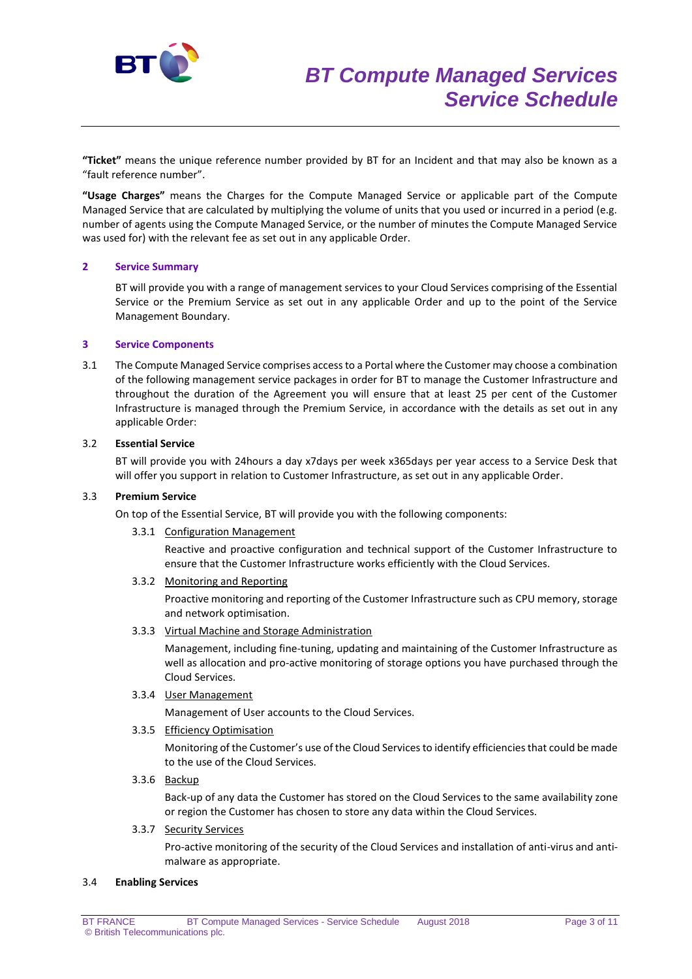

**"Ticket"** means the unique reference number provided by BT for an Incident and that may also be known as a "fault reference number".

**"Usage Charges"** means the Charges for the Compute Managed Service or applicable part of the Compute Managed Service that are calculated by multiplying the volume of units that you used or incurred in a period (e.g. number of agents using the Compute Managed Service, or the number of minutes the Compute Managed Service was used for) with the relevant fee as set out in any applicable Order.

## **2 Service Summary**

BT will provide you with a range of management services to your Cloud Services comprising of the Essential Service or the Premium Service as set out in any applicable Order and up to the point of the Service Management Boundary.

#### **3 Service Components**

3.1 The Compute Managed Service comprises access to a Portal where the Customer may choose a combination of the following management service packages in order for BT to manage the Customer Infrastructure and throughout the duration of the Agreement you will ensure that at least 25 per cent of the Customer Infrastructure is managed through the Premium Service, in accordance with the details as set out in any applicable Order:

#### 3.2 **Essential Service**

BT will provide you with 24hours a day x7days per week x365days per year access to a Service Desk that will offer you support in relation to Customer Infrastructure, as set out in any applicable Order.

#### 3.3 **Premium Service**

On top of the Essential Service, BT will provide you with the following components:

3.3.1 Configuration Management

Reactive and proactive configuration and technical support of the Customer Infrastructure to ensure that the Customer Infrastructure works efficiently with the Cloud Services.

3.3.2 Monitoring and Reporting

Proactive monitoring and reporting of the Customer Infrastructure such as CPU memory, storage and network optimisation.

3.3.3 Virtual Machine and Storage Administration

Management, including fine-tuning, updating and maintaining of the Customer Infrastructure as well as allocation and pro-active monitoring of storage options you have purchased through the Cloud Services.

3.3.4 User Management

Management of User accounts to the Cloud Services.

3.3.5 Efficiency Optimisation

Monitoring of the Customer's use of the Cloud Services to identify efficiencies that could be made to the use of the Cloud Services.

3.3.6 Backup

Back-up of any data the Customer has stored on the Cloud Services to the same availability zone or region the Customer has chosen to store any data within the Cloud Services.

#### 3.3.7 Security Services

Pro-active monitoring of the security of the Cloud Services and installation of anti-virus and antimalware as appropriate.

#### 3.4 **Enabling Services**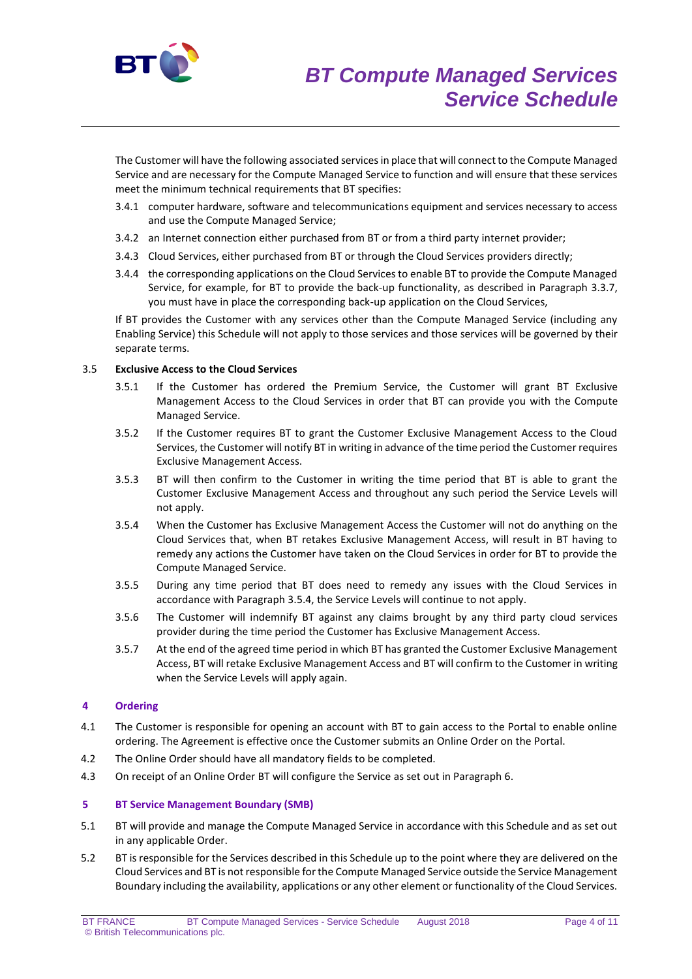

The Customer will have the following associated services in place that will connect to the Compute Managed Service and are necessary for the Compute Managed Service to function and will ensure that these services meet the minimum technical requirements that BT specifies:

- 3.4.1 computer hardware, software and telecommunications equipment and services necessary to access and use the Compute Managed Service;
- 3.4.2 an Internet connection either purchased from BT or from a third party internet provider;
- 3.4.3 Cloud Services, either purchased from BT or through the Cloud Services providers directly;
- 3.4.4 the corresponding applications on the Cloud Services to enable BT to provide the Compute Managed Service, for example, for BT to provide the back-up functionality, as described in Paragraph 3.3.7, you must have in place the corresponding back-up application on the Cloud Services,

If BT provides the Customer with any services other than the Compute Managed Service (including any Enabling Service) this Schedule will not apply to those services and those services will be governed by their separate terms.

#### 3.5 **Exclusive Access to the Cloud Services**

- 3.5.1 If the Customer has ordered the Premium Service, the Customer will grant BT Exclusive Management Access to the Cloud Services in order that BT can provide you with the Compute Managed Service.
- 3.5.2 If the Customer requires BT to grant the Customer Exclusive Management Access to the Cloud Services, the Customer will notify BT in writing in advance of the time period the Customer requires Exclusive Management Access.
- 3.5.3 BT will then confirm to the Customer in writing the time period that BT is able to grant the Customer Exclusive Management Access and throughout any such period the Service Levels will not apply.
- 3.5.4 When the Customer has Exclusive Management Access the Customer will not do anything on the Cloud Services that, when BT retakes Exclusive Management Access, will result in BT having to remedy any actions the Customer have taken on the Cloud Services in order for BT to provide the Compute Managed Service.
- 3.5.5 During any time period that BT does need to remedy any issues with the Cloud Services in accordance with Paragraph 3.5.4, the Service Levels will continue to not apply.
- 3.5.6 The Customer will indemnify BT against any claims brought by any third party cloud services provider during the time period the Customer has Exclusive Management Access.
- 3.5.7 At the end of the agreed time period in which BT has granted the Customer Exclusive Management Access, BT will retake Exclusive Management Access and BT will confirm to the Customer in writing when the Service Levels will apply again.

# **4 Ordering**

- 4.1 The Customer is responsible for opening an account with BT to gain access to the Portal to enable online ordering. The Agreement is effective once the Customer submits an Online Order on the Portal.
- 4.2 The Online Order should have all mandatory fields to be completed.
- 4.3 On receipt of an Online Order BT will configure the Service as set out in Paragraph 6.

## **5 BT Service Management Boundary (SMB)**

- 5.1 BT will provide and manage the Compute Managed Service in accordance with this Schedule and as set out in any applicable Order.
- 5.2 BT is responsible for the Services described in this Schedule up to the point where they are delivered on the Cloud Services and BT is not responsible for the Compute Managed Service outside the Service Management Boundary including the availability, applications or any other element or functionality of the Cloud Services.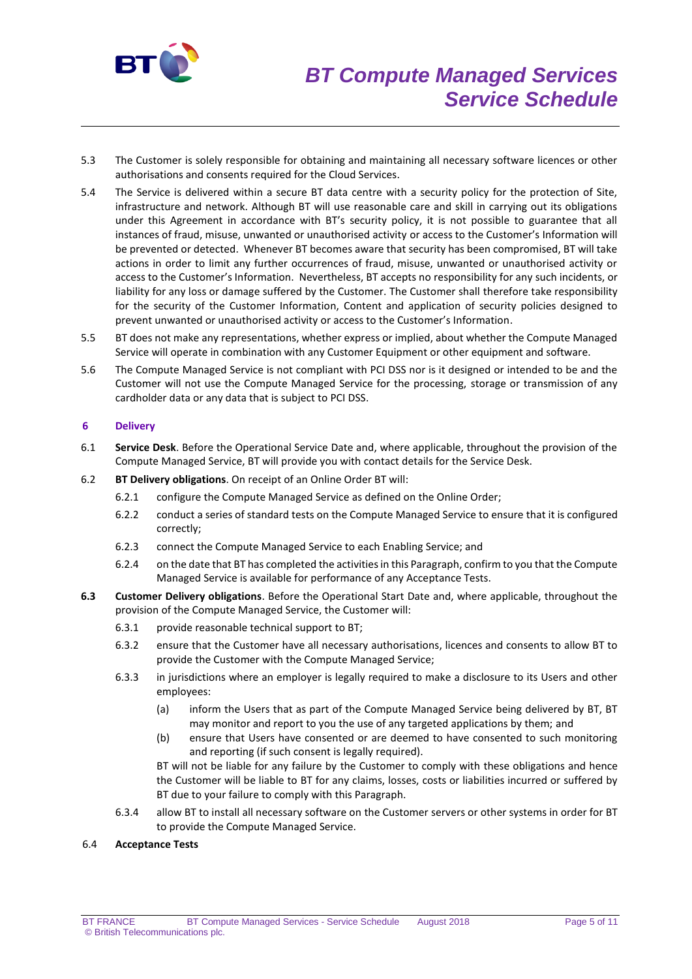

- 5.3 The Customer is solely responsible for obtaining and maintaining all necessary software licences or other authorisations and consents required for the Cloud Services.
- 5.4 The Service is delivered within a secure BT data centre with a security policy for the protection of Site, infrastructure and network. Although BT will use reasonable care and skill in carrying out its obligations under this Agreement in accordance with BT's security policy, it is not possible to guarantee that all instances of fraud, misuse, unwanted or unauthorised activity or access to the Customer's Information will be prevented or detected. Whenever BT becomes aware that security has been compromised, BT will take actions in order to limit any further occurrences of fraud, misuse, unwanted or unauthorised activity or access to the Customer's Information. Nevertheless, BT accepts no responsibility for any such incidents, or liability for any loss or damage suffered by the Customer. The Customer shall therefore take responsibility for the security of the Customer Information, Content and application of security policies designed to prevent unwanted or unauthorised activity or access to the Customer's Information.
- 5.5 BT does not make any representations, whether express or implied, about whether the Compute Managed Service will operate in combination with any Customer Equipment or other equipment and software.
- 5.6 The Compute Managed Service is not compliant with PCI DSS nor is it designed or intended to be and the Customer will not use the Compute Managed Service for the processing, storage or transmission of any cardholder data or any data that is subject to PCI DSS.

## **6 Delivery**

- 6.1 **Service Desk**. Before the Operational Service Date and, where applicable, throughout the provision of the Compute Managed Service, BT will provide you with contact details for the Service Desk.
- 6.2 **BT Delivery obligations**. On receipt of an Online Order BT will:
	- 6.2.1 configure the Compute Managed Service as defined on the Online Order;
	- 6.2.2 conduct a series of standard tests on the Compute Managed Service to ensure that it is configured correctly;
	- 6.2.3 connect the Compute Managed Service to each Enabling Service; and
	- 6.2.4 on the date that BT has completed the activities in this Paragraph, confirm to you that the Compute Managed Service is available for performance of any Acceptance Tests.
- **6.3 Customer Delivery obligations**. Before the Operational Start Date and, where applicable, throughout the provision of the Compute Managed Service, the Customer will:
	- 6.3.1 provide reasonable technical support to BT;
	- 6.3.2 ensure that the Customer have all necessary authorisations, licences and consents to allow BT to provide the Customer with the Compute Managed Service;
	- 6.3.3 in jurisdictions where an employer is legally required to make a disclosure to its Users and other employees:
		- (a) inform the Users that as part of the Compute Managed Service being delivered by BT, BT may monitor and report to you the use of any targeted applications by them; and
		- (b) ensure that Users have consented or are deemed to have consented to such monitoring and reporting (if such consent is legally required).

BT will not be liable for any failure by the Customer to comply with these obligations and hence the Customer will be liable to BT for any claims, losses, costs or liabilities incurred or suffered by BT due to your failure to comply with this Paragraph.

6.3.4 allow BT to install all necessary software on the Customer servers or other systems in order for BT to provide the Compute Managed Service.

#### 6.4 **Acceptance Tests**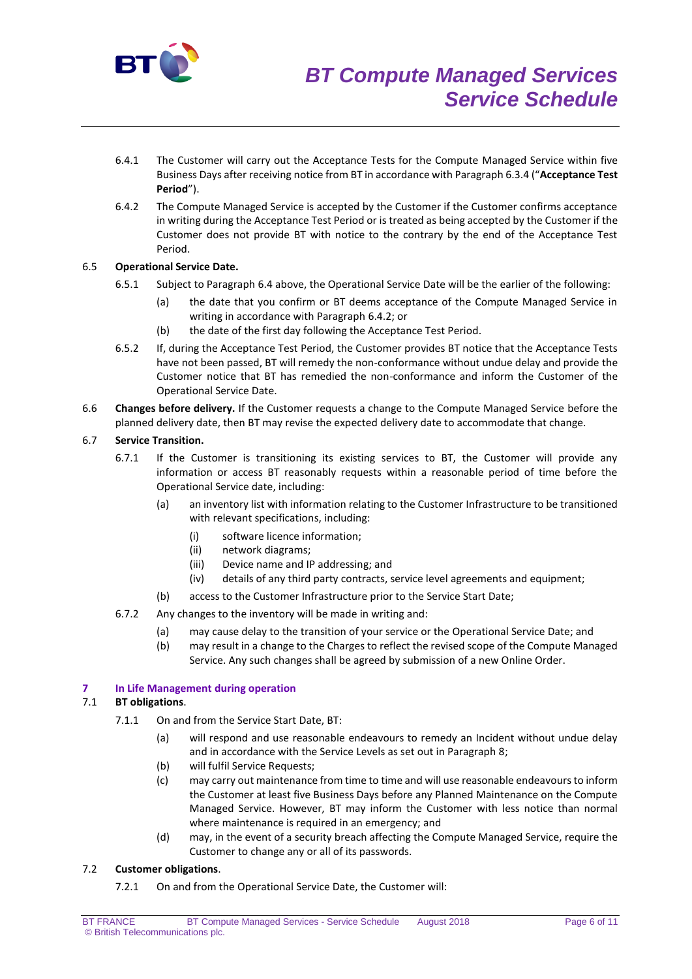

- 6.4.1 The Customer will carry out the Acceptance Tests for the Compute Managed Service within five Business Days after receiving notice from BT in accordance with Paragraph 6.3.4 ("**Acceptance Test Period**").
- 6.4.2 The Compute Managed Service is accepted by the Customer if the Customer confirms acceptance in writing during the Acceptance Test Period or is treated as being accepted by the Customer if the Customer does not provide BT with notice to the contrary by the end of the Acceptance Test Period.

## 6.5 **Operational Service Date.**

- 6.5.1 Subject to Paragraph 6.4 above, the Operational Service Date will be the earlier of the following:
	- (a) the date that you confirm or BT deems acceptance of the Compute Managed Service in writing in accordance with Paragraph 6.4.2; or
	- (b) the date of the first day following the Acceptance Test Period.
- 6.5.2 If, during the Acceptance Test Period, the Customer provides BT notice that the Acceptance Tests have not been passed, BT will remedy the non-conformance without undue delay and provide the Customer notice that BT has remedied the non-conformance and inform the Customer of the Operational Service Date.
- 6.6 **Changes before delivery.** If the Customer requests a change to the Compute Managed Service before the planned delivery date, then BT may revise the expected delivery date to accommodate that change.

## 6.7 **Service Transition.**

- 6.7.1 If the Customer is transitioning its existing services to BT, the Customer will provide any information or access BT reasonably requests within a reasonable period of time before the Operational Service date, including:
	- (a) an inventory list with information relating to the Customer Infrastructure to be transitioned with relevant specifications, including:
		- (i) software licence information;
		- (ii) network diagrams;
		- (iii) Device name and IP addressing; and
		- (iv) details of any third party contracts, service level agreements and equipment;
	- (b) access to the Customer Infrastructure prior to the Service Start Date;
- 6.7.2 Any changes to the inventory will be made in writing and:
	- (a) may cause delay to the transition of your service or the Operational Service Date; and
	- (b) may result in a change to the Charges to reflect the revised scope of the Compute Managed Service. Any such changes shall be agreed by submission of a new Online Order.

#### **7 In Life Management during operation**

## 7.1 **BT obligations**.

- 7.1.1 On and from the Service Start Date, BT:
	- (a) will respond and use reasonable endeavours to remedy an Incident without undue delay and in accordance with the Service Levels as set out in Paragraph 8;
	- (b) will fulfil Service Requests;
	- (c) may carry out maintenance from time to time and will use reasonable endeavours to inform the Customer at least five Business Days before any Planned Maintenance on the Compute Managed Service. However, BT may inform the Customer with less notice than normal where maintenance is required in an emergency; and
	- (d) may, in the event of a security breach affecting the Compute Managed Service, require the Customer to change any or all of its passwords.

#### 7.2 **Customer obligations**.

7.2.1 On and from the Operational Service Date, the Customer will: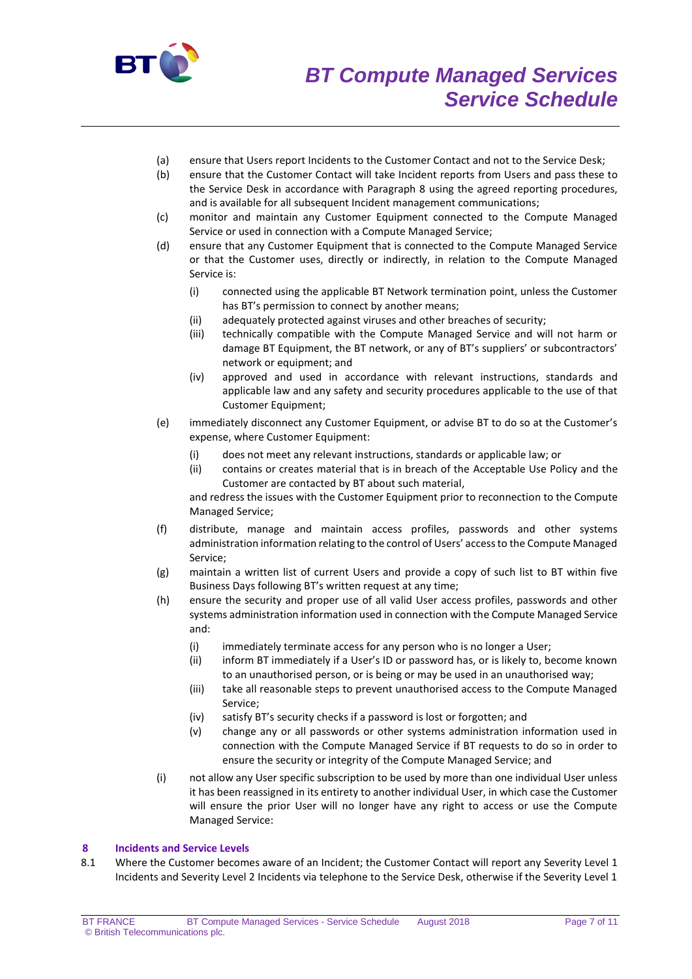

- (a) ensure that Users report Incidents to the Customer Contact and not to the Service Desk;
- (b) ensure that the Customer Contact will take Incident reports from Users and pass these to the Service Desk in accordance with Paragraph 8 using the agreed reporting procedures, and is available for all subsequent Incident management communications;
- (c) monitor and maintain any Customer Equipment connected to the Compute Managed Service or used in connection with a Compute Managed Service;
- (d) ensure that any Customer Equipment that is connected to the Compute Managed Service or that the Customer uses, directly or indirectly, in relation to the Compute Managed Service is:
	- (i) connected using the applicable BT Network termination point, unless the Customer has BT's permission to connect by another means;
	- (ii) adequately protected against viruses and other breaches of security;
	- (iii) technically compatible with the Compute Managed Service and will not harm or damage BT Equipment, the BT network, or any of BT's suppliers' or subcontractors' network or equipment; and
	- (iv) approved and used in accordance with relevant instructions, standards and applicable law and any safety and security procedures applicable to the use of that Customer Equipment;
- (e) immediately disconnect any Customer Equipment, or advise BT to do so at the Customer's expense, where Customer Equipment:
	- (i) does not meet any relevant instructions, standards or applicable law; or

(ii) contains or creates material that is in breach of the Acceptable Use Policy and the Customer are contacted by BT about such material,

and redress the issues with the Customer Equipment prior to reconnection to the Compute Managed Service;

- (f) distribute, manage and maintain access profiles, passwords and other systems administration information relating to the control of Users' access to the Compute Managed Service;
- (g) maintain a written list of current Users and provide a copy of such list to BT within five Business Days following BT's written request at any time;
- (h) ensure the security and proper use of all valid User access profiles, passwords and other systems administration information used in connection with the Compute Managed Service and:
	- (i) immediately terminate access for any person who is no longer a User;
	- (ii) inform BT immediately if a User's ID or password has, or is likely to, become known to an unauthorised person, or is being or may be used in an unauthorised way;
	- (iii) take all reasonable steps to prevent unauthorised access to the Compute Managed Service;
	- (iv) satisfy BT's security checks if a password is lost or forgotten; and
	- (v) change any or all passwords or other systems administration information used in connection with the Compute Managed Service if BT requests to do so in order to ensure the security or integrity of the Compute Managed Service; and
- (i) not allow any User specific subscription to be used by more than one individual User unless it has been reassigned in its entirety to another individual User, in which case the Customer will ensure the prior User will no longer have any right to access or use the Compute Managed Service:

## **8 Incidents and Service Levels**

8.1 Where the Customer becomes aware of an Incident; the Customer Contact will report any Severity Level 1 Incidents and Severity Level 2 Incidents via telephone to the Service Desk, otherwise if the Severity Level 1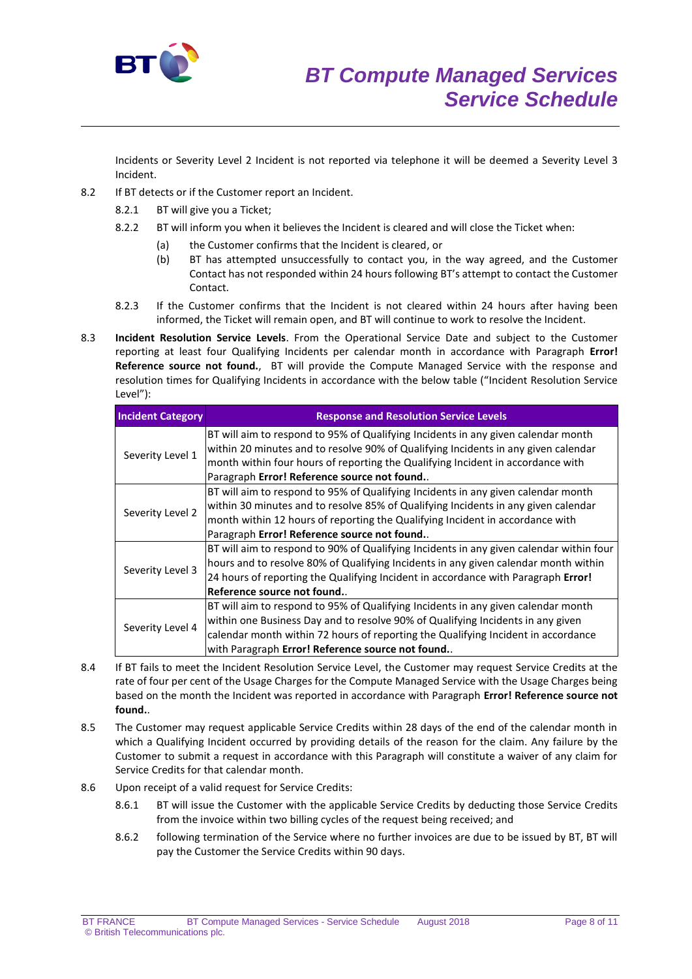

Incidents or Severity Level 2 Incident is not reported via telephone it will be deemed a Severity Level 3 Incident.

- 8.2 If BT detects or if the Customer report an Incident.
	- 8.2.1 BT will give you a Ticket;
	- 8.2.2 BT will inform you when it believes the Incident is cleared and will close the Ticket when:
		- (a) the Customer confirms that the Incident is cleared, or
		- (b) BT has attempted unsuccessfully to contact you, in the way agreed, and the Customer Contact has not responded within 24 hours following BT's attempt to contact the Customer Contact.
	- 8.2.3 If the Customer confirms that the Incident is not cleared within 24 hours after having been informed, the Ticket will remain open, and BT will continue to work to resolve the Incident.
- 8.3 **Incident Resolution Service Levels**. From the Operational Service Date and subject to the Customer reporting at least four Qualifying Incidents per calendar month in accordance with Paragraph **Error! Reference source not found.**, BT will provide the Compute Managed Service with the response and resolution times for Qualifying Incidents in accordance with the below table ("Incident Resolution Service Level"):

| <b>Incident Category</b> | <b>Response and Resolution Service Levels</b>                                           |
|--------------------------|-----------------------------------------------------------------------------------------|
| Severity Level 1         | BT will aim to respond to 95% of Qualifying Incidents in any given calendar month       |
|                          | within 20 minutes and to resolve 90% of Qualifying Incidents in any given calendar      |
|                          | month within four hours of reporting the Qualifying Incident in accordance with         |
|                          | Paragraph Error! Reference source not found                                             |
| Severity Level 2         | BT will aim to respond to 95% of Qualifying Incidents in any given calendar month       |
|                          | within 30 minutes and to resolve 85% of Qualifying Incidents in any given calendar      |
|                          | month within 12 hours of reporting the Qualifying Incident in accordance with           |
|                          | Paragraph Error! Reference source not found                                             |
| Severity Level 3         | BT will aim to respond to 90% of Qualifying Incidents in any given calendar within four |
|                          | hours and to resolve 80% of Qualifying Incidents in any given calendar month within     |
|                          | 24 hours of reporting the Qualifying Incident in accordance with Paragraph Error!       |
|                          | Reference source not found.                                                             |
| Severity Level 4         | BT will aim to respond to 95% of Qualifying Incidents in any given calendar month       |
|                          | within one Business Day and to resolve 90% of Qualifying Incidents in any given         |
|                          | calendar month within 72 hours of reporting the Qualifying Incident in accordance       |
|                          | with Paragraph Error! Reference source not found                                        |

- 8.4 If BT fails to meet the Incident Resolution Service Level, the Customer may request Service Credits at the rate of four per cent of the Usage Charges for the Compute Managed Service with the Usage Charges being based on the month the Incident was reported in accordance with Paragraph **Error! Reference source not found.**.
- 8.5 The Customer may request applicable Service Credits within 28 days of the end of the calendar month in which a Qualifying Incident occurred by providing details of the reason for the claim. Any failure by the Customer to submit a request in accordance with this Paragraph will constitute a waiver of any claim for Service Credits for that calendar month.
- 8.6 Upon receipt of a valid request for Service Credits:
	- 8.6.1 BT will issue the Customer with the applicable Service Credits by deducting those Service Credits from the invoice within two billing cycles of the request being received; and
	- 8.6.2 following termination of the Service where no further invoices are due to be issued by BT, BT will pay the Customer the Service Credits within 90 days.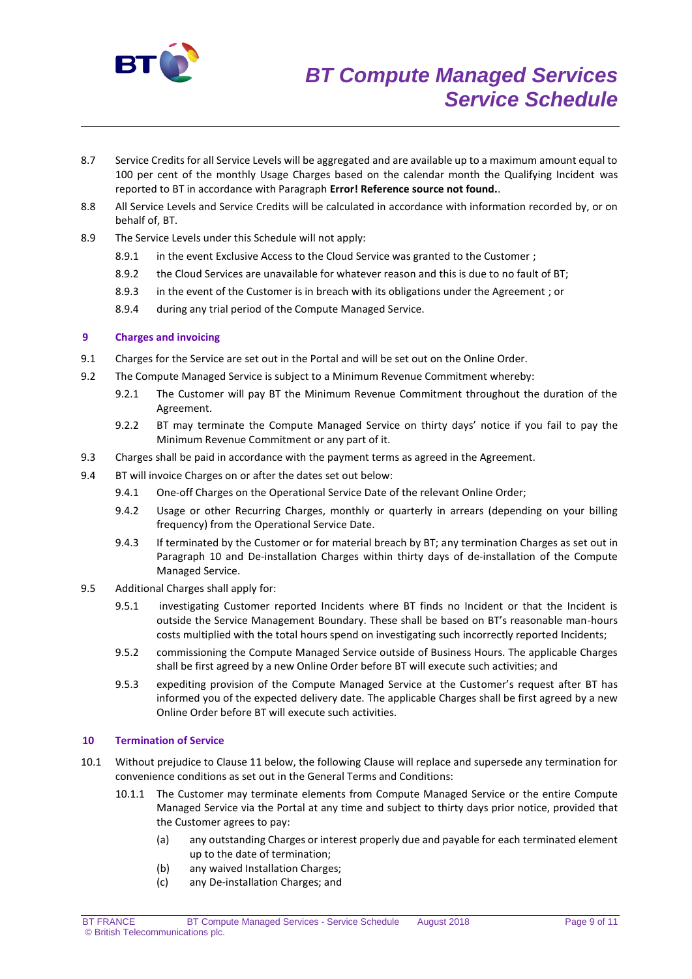

- 8.7 Service Credits for all Service Levels will be aggregated and are available up to a maximum amount equal to 100 per cent of the monthly Usage Charges based on the calendar month the Qualifying Incident was reported to BT in accordance with Paragraph **Error! Reference source not found.**.
- 8.8 All Service Levels and Service Credits will be calculated in accordance with information recorded by, or on behalf of, BT.
- 8.9 The Service Levels under this Schedule will not apply:
	- 8.9.1 in the event Exclusive Access to the Cloud Service was granted to the Customer;
	- 8.9.2 the Cloud Services are unavailable for whatever reason and this is due to no fault of BT;
	- 8.9.3 in the event of the Customer is in breach with its obligations under the Agreement ; or
	- 8.9.4 during any trial period of the Compute Managed Service.

## **9 Charges and invoicing**

- 9.1 Charges for the Service are set out in the Portal and will be set out on the Online Order.
- 9.2 The Compute Managed Service is subject to a Minimum Revenue Commitment whereby:
	- 9.2.1 The Customer will pay BT the Minimum Revenue Commitment throughout the duration of the Agreement.
	- 9.2.2 BT may terminate the Compute Managed Service on thirty days' notice if you fail to pay the Minimum Revenue Commitment or any part of it.
- 9.3 Charges shall be paid in accordance with the payment terms as agreed in the Agreement.
- 9.4 BT will invoice Charges on or after the dates set out below:
	- 9.4.1 One-off Charges on the Operational Service Date of the relevant Online Order;
	- 9.4.2 Usage or other Recurring Charges, monthly or quarterly in arrears (depending on your billing frequency) from the Operational Service Date.
	- 9.4.3 If terminated by the Customer or for material breach by BT; any termination Charges as set out in Paragraph 10 and De-installation Charges within thirty days of de-installation of the Compute Managed Service.
- 9.5 Additional Charges shall apply for:
	- 9.5.1 investigating Customer reported Incidents where BT finds no Incident or that the Incident is outside the Service Management Boundary. These shall be based on BT's reasonable man-hours costs multiplied with the total hours spend on investigating such incorrectly reported Incidents;
	- 9.5.2 commissioning the Compute Managed Service outside of Business Hours. The applicable Charges shall be first agreed by a new Online Order before BT will execute such activities; and
	- 9.5.3 expediting provision of the Compute Managed Service at the Customer's request after BT has informed you of the expected delivery date. The applicable Charges shall be first agreed by a new Online Order before BT will execute such activities.

## **10 Termination of Service**

- 10.1 Without prejudice to Clause 11 below, the following Clause will replace and supersede any termination for convenience conditions as set out in the General Terms and Conditions:
	- 10.1.1 The Customer may terminate elements from Compute Managed Service or the entire Compute Managed Service via the Portal at any time and subject to thirty days prior notice, provided that the Customer agrees to pay:
		- (a) any outstanding Charges or interest properly due and payable for each terminated element up to the date of termination;
		- (b) any waived Installation Charges;
		- (c) any De-installation Charges; and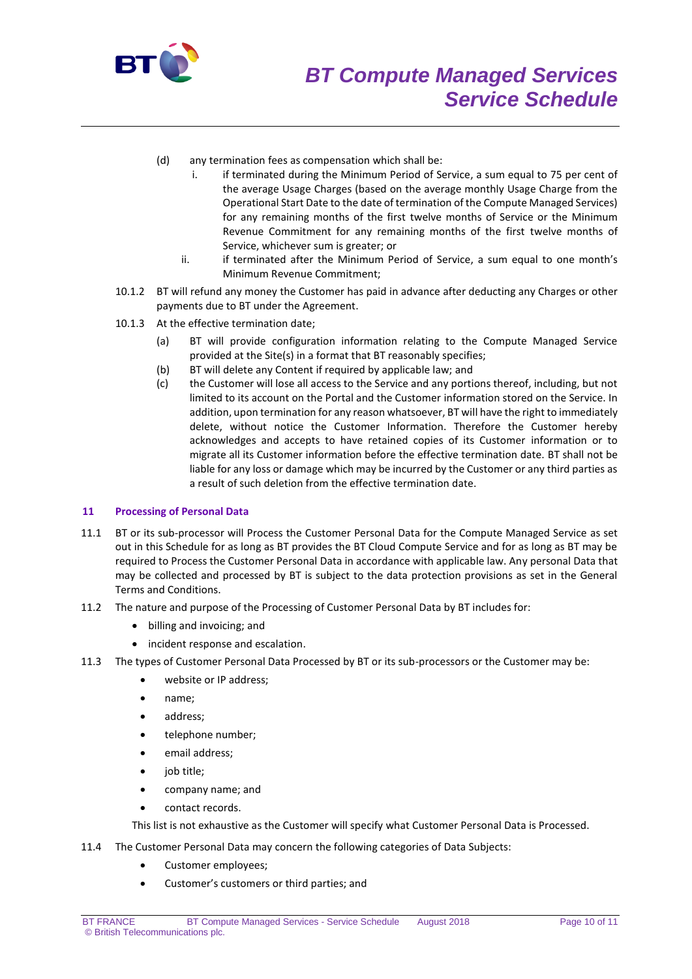

- (d) any termination fees as compensation which shall be:
	- i. if terminated during the Minimum Period of Service, a sum equal to 75 per cent of the average Usage Charges (based on the average monthly Usage Charge from the Operational Start Date to the date of termination of the Compute Managed Services) for any remaining months of the first twelve months of Service or the Minimum Revenue Commitment for any remaining months of the first twelve months of Service, whichever sum is greater; or
	- ii. if terminated after the Minimum Period of Service, a sum equal to one month's Minimum Revenue Commitment;
- 10.1.2 BT will refund any money the Customer has paid in advance after deducting any Charges or other payments due to BT under the Agreement.
- 10.1.3 At the effective termination date;
	- (a) BT will provide configuration information relating to the Compute Managed Service provided at the Site(s) in a format that BT reasonably specifies;
	- (b) BT will delete any Content if required by applicable law; and
	- (c) the Customer will lose all access to the Service and any portions thereof, including, but not limited to its account on the Portal and the Customer information stored on the Service. In addition, upon termination for any reason whatsoever, BT will have the right to immediately delete, without notice the Customer Information. Therefore the Customer hereby acknowledges and accepts to have retained copies of its Customer information or to migrate all its Customer information before the effective termination date. BT shall not be liable for any loss or damage which may be incurred by the Customer or any third parties as a result of such deletion from the effective termination date.

#### **11 Processing of Personal Data**

- 11.1 BT or its sub-processor will Process the Customer Personal Data for the Compute Managed Service as set out in this Schedule for as long as BT provides the BT Cloud Compute Service and for as long as BT may be required to Process the Customer Personal Data in accordance with applicable law. Any personal Data that may be collected and processed by BT is subject to the data protection provisions as set in the General Terms and Conditions.
- 11.2 The nature and purpose of the Processing of Customer Personal Data by BT includes for:
	- billing and invoicing; and
	- incident response and escalation.
- 11.3 The types of Customer Personal Data Processed by BT or its sub-processors or the Customer may be:
	- website or IP address;
	- name;
	- address;
	- telephone number:
	- email address;
	- iob title:
	- company name; and
	- contact records.

This list is not exhaustive as the Customer will specify what Customer Personal Data is Processed.

- 11.4 The Customer Personal Data may concern the following categories of Data Subjects:
	- Customer employees;
	- Customer's customers or third parties; and